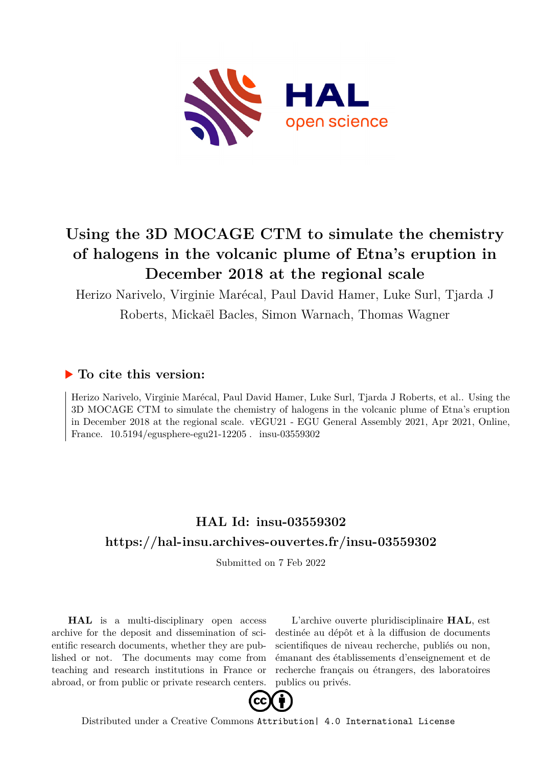

## **Using the 3D MOCAGE CTM to simulate the chemistry of halogens in the volcanic plume of Etna's eruption in December 2018 at the regional scale**

Herizo Narivelo, Virginie Marécal, Paul David Hamer, Luke Surl, Tjarda J

Roberts, Mickaël Bacles, Simon Warnach, Thomas Wagner

## **To cite this version:**

Herizo Narivelo, Virginie Marécal, Paul David Hamer, Luke Surl, Tjarda J Roberts, et al.. Using the 3D MOCAGE CTM to simulate the chemistry of halogens in the volcanic plume of Etna's eruption in December 2018 at the regional scale. vEGU21 - EGU General Assembly 2021, Apr 2021, Online, France.  $10.5194$ /egusphere-egu21-12205. insu-03559302

## **HAL Id: insu-03559302 <https://hal-insu.archives-ouvertes.fr/insu-03559302>**

Submitted on 7 Feb 2022

**HAL** is a multi-disciplinary open access archive for the deposit and dissemination of scientific research documents, whether they are published or not. The documents may come from teaching and research institutions in France or abroad, or from public or private research centers.

L'archive ouverte pluridisciplinaire **HAL**, est destinée au dépôt et à la diffusion de documents scientifiques de niveau recherche, publiés ou non, émanant des établissements d'enseignement et de recherche français ou étrangers, des laboratoires publics ou privés.



Distributed under a Creative Commons [Attribution| 4.0 International License](http://creativecommons.org/licenses/by/4.0/)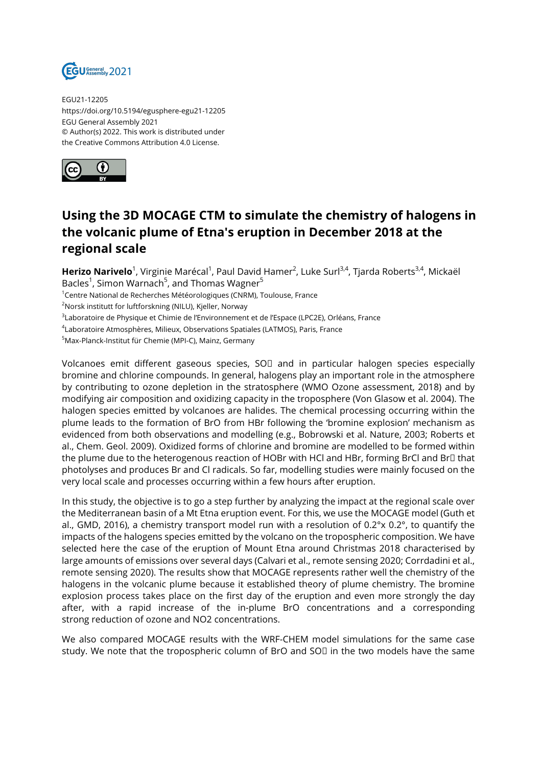

EGU21-12205 https://doi.org/10.5194/egusphere-egu21-12205 EGU General Assembly 2021 © Author(s) 2022. This work is distributed under the Creative Commons Attribution 4.0 License.



## **Using the 3D MOCAGE CTM to simulate the chemistry of halogens in the volcanic plume of Etna's eruption in December 2018 at the regional scale**

**Herizo Narivelo**<sup>1</sup>, Virginie Marécal<sup>1</sup>, Paul David Hamer<sup>2</sup>, Luke Surl<sup>3,4</sup>, Tjarda Roberts<sup>3,4</sup>, Mickaël Bacles<sup>1</sup>, Simon Warnach<sup>5</sup>, and Thomas Wagner<sup>5</sup>

<sup>1</sup>Centre National de Recherches Météorologiques (CNRM), Toulouse, France

<sup>2</sup>Norsk institutt for luftforskning (NILU), Kjeller, Norway

<sup>3</sup>Laboratoire de Physique et Chimie de l'Environnement et de l'Espace (LPC2E), Orléans, France

4 Laboratoire Atmosphères, Milieux, Observations Spatiales (LATMOS), Paris, France

<sup>5</sup>Max-Planck-Institut für Chemie (MPI-C), Mainz, Germany

Volcanoes emit different gaseous species, SOI and in particular halogen species especially bromine and chlorine compounds. In general, halogens play an important role in the atmosphere by contributing to ozone depletion in the stratosphere (WMO Ozone assessment, 2018) and by modifying air composition and oxidizing capacity in the troposphere (Von Glasow et al. 2004). The halogen species emitted by volcanoes are halides. The chemical processing occurring within the plume leads to the formation of BrO from HBr following the 'bromine explosion' mechanism as evidenced from both observations and modelling (e.g., Bobrowski et al. Nature, 2003; Roberts et al., Chem. Geol. 2009). Oxidized forms of chlorine and bromine are modelled to be formed within the plume due to the heterogenous reaction of HOBr with HCl and HBr, forming BrCl and Br $\Box$  that photolyses and produces Br and Cl radicals. So far, modelling studies were mainly focused on the very local scale and processes occurring within a few hours after eruption.

In this study, the objective is to go a step further by analyzing the impact at the regional scale over the Mediterranean basin of a Mt Etna eruption event. For this, we use the MOCAGE model (Guth et al., GMD, 2016), a chemistry transport model run with a resolution of 0.2°x 0.2°, to quantify the impacts of the halogens species emitted by the volcano on the tropospheric composition. We have selected here the case of the eruption of Mount Etna around Christmas 2018 characterised by large amounts of emissions over several days (Calvari et al., remote sensing 2020; Corrdadini et al., remote sensing 2020). The results show that MOCAGE represents rather well the chemistry of the halogens in the volcanic plume because it established theory of plume chemistry. The bromine explosion process takes place on the first day of the eruption and even more strongly the day after, with a rapid increase of the in-plume BrO concentrations and a corresponding strong reduction of ozone and NO2 concentrations.

We also compared MOCAGE results with the WRF-CHEM model simulations for the same case study. We note that the tropospheric column of BrO and SOI in the two models have the same